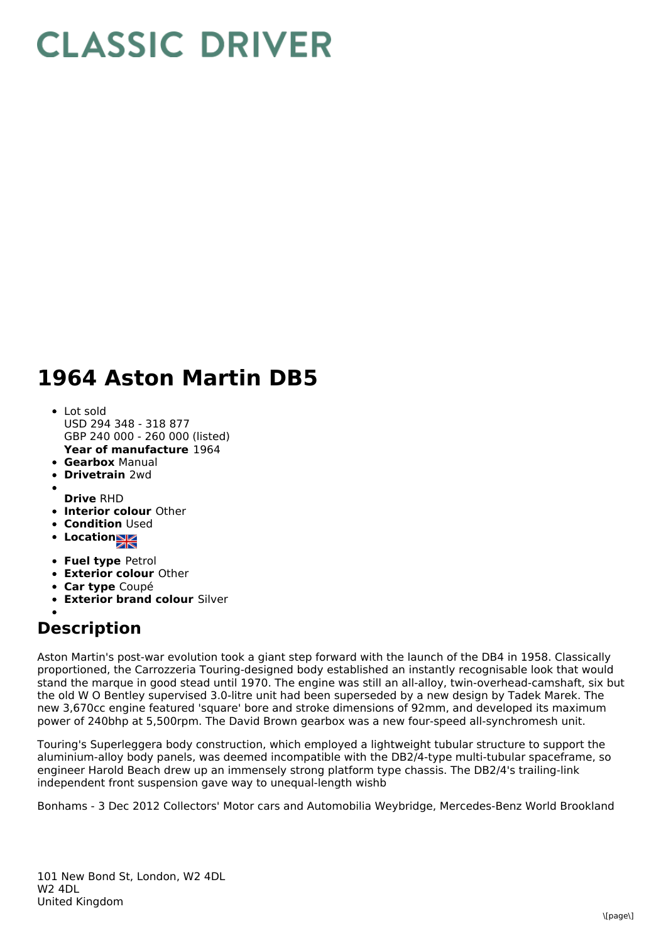## **CLASSIC DRIVER**

## **1964 Aston Martin DB5**

- **Year of manufacture** 1964 • Lot sold USD 294 348 - 318 877 GBP 240 000 - 260 000 (listed)
- **Gearbox** Manual
- **Drivetrain** 2wd
- **Drive** RHD
- **Interior colour** Other
- **Condition** Used
- Location
- **Fuel type** Petrol
- **Exterior colour** Other
- **Car type** Coupé
- **Exterior brand colour** Silver

## **Description**

Aston Martin's post-war evolution took a giant step forward with the launch of the DB4 in 1958. Classically proportioned, the Carrozzeria Touring-designed body established an instantly recognisable look that would stand the marque in good stead until 1970. The engine was still an all-alloy, twin-overhead-camshaft, six but the old W O Bentley supervised 3.0-litre unit had been superseded by a new design by Tadek Marek. The new 3,670cc engine featured 'square' bore and stroke dimensions of 92mm, and developed its maximum power of 240bhp at 5,500rpm. The David Brown gearbox was a new four-speed all-synchromesh unit.

Touring's Superleggera body construction, which employed a lightweight tubular structure to support the aluminium-alloy body panels, was deemed incompatible with the DB2/4-type multi-tubular spaceframe, so engineer Harold Beach drew up an immensely strong platform type chassis. The DB2/4's trailing-link independent front suspension gave way to unequal-length wishb

Bonhams - 3 Dec 2012 Collectors' Motor cars and Automobilia Weybridge, Mercedes-Benz World Brookland